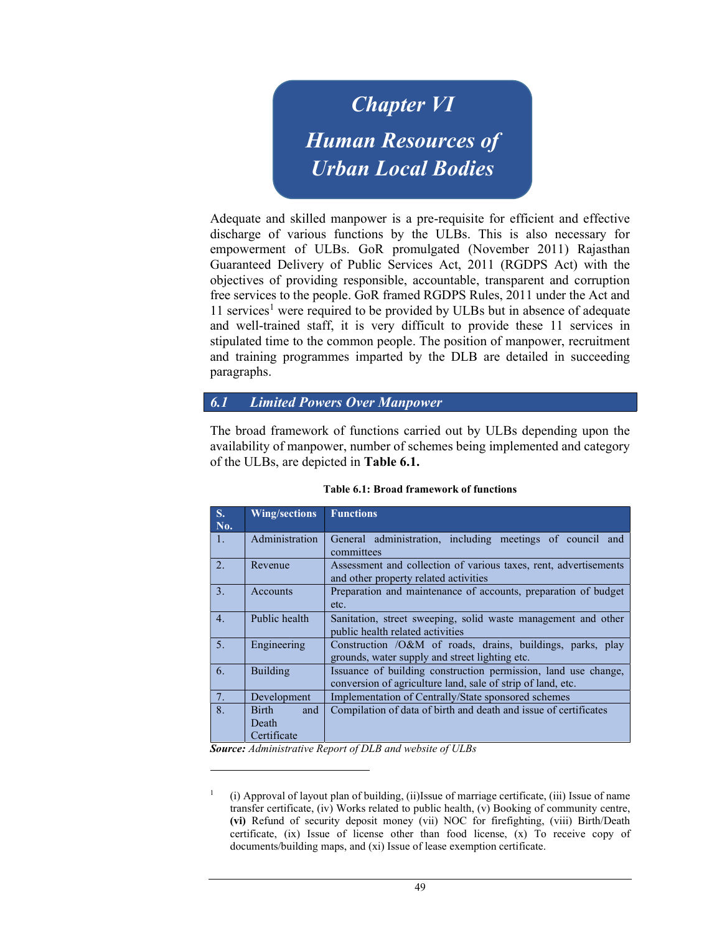Chapter VI Human Resources of Urban Local Bodies

Adequate and skilled manpower is a pre-requisite for efficient and effective discharge of various functions by the ULBs. This is also necessary for empowerment of ULBs. GoR promulgated (November 2011) Rajasthan Guaranteed Delivery of Public Services Act, 2011 (RGDPS Act) with the objectives of providing responsible, accountable, transparent and corruption free services to the people. GoR framed RGDPS Rules, 2011 under the Act and  $11$  services<sup>1</sup> were required to be provided by ULBs but in absence of adequate and well-trained staff, it is very difficult to provide these 11 services in stipulated time to the common people. The position of manpower, recruitment and training programmes imparted by the DLB are detailed in succeeding paragraphs.

## 6.1 Limited Powers Over Manpower

The broad framework of functions carried out by ULBs depending upon the availability of manpower, number of schemes being implemented and category of the ULBs, are depicted in Table 6.1.

| S.<br>No. | <b>Wing/sections</b>                        | <b>Functions</b>                                                                                                              |
|-----------|---------------------------------------------|-------------------------------------------------------------------------------------------------------------------------------|
| 1.        | Administration                              | General administration, including meetings of council and<br>committees                                                       |
| 2.        | Revenue                                     | Assessment and collection of various taxes, rent, advertisements<br>and other property related activities                     |
| 3.        | Accounts                                    | Preparation and maintenance of accounts, preparation of budget<br>etc.                                                        |
| 4.        | Public health                               | Sanitation, street sweeping, solid waste management and other<br>public health related activities                             |
| 5.        | Engineering                                 | Construction /O&M of roads, drains, buildings, parks, play<br>grounds, water supply and street lighting etc.                  |
| 6.        | Building                                    | Issuance of building construction permission, land use change,<br>conversion of agriculture land, sale of strip of land, etc. |
| 7.        | Development                                 | Implementation of Centrally/State sponsored schemes                                                                           |
| 8.        | <b>Birth</b><br>and<br>Death<br>Certificate | Compilation of data of birth and death and issue of certificates                                                              |

Table 6.1: Broad framework of functions

Source: Administrative Report of DLB and website of ULBs

<sup>1</sup> (i) Approval of layout plan of building, (ii)Issue of marriage certificate, (iii) Issue of name transfer certificate, (iv) Works related to public health, (v) Booking of community centre, (vi) Refund of security deposit money (vii) NOC for firefighting, (viii) Birth/Death certificate, (ix) Issue of license other than food license, (x) To receive copy of documents/building maps, and (xi) Issue of lease exemption certificate.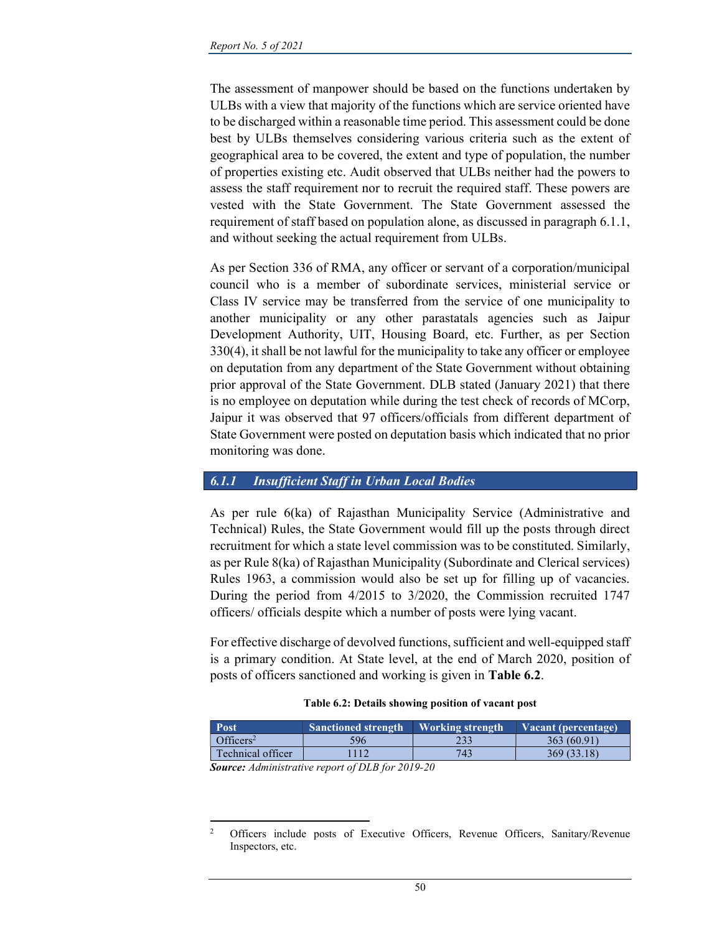The assessment of manpower should be based on the functions undertaken by ULBs with a view that majority of the functions which are service oriented have to be discharged within a reasonable time period. This assessment could be done best by ULBs themselves considering various criteria such as the extent of geographical area to be covered, the extent and type of population, the number of properties existing etc. Audit observed that ULBs neither had the powers to assess the staff requirement nor to recruit the required staff. These powers are vested with the State Government. The State Government assessed the requirement of staff based on population alone, as discussed in paragraph 6.1.1, and without seeking the actual requirement from ULBs.

As per Section 336 of RMA, any officer or servant of a corporation/municipal council who is a member of subordinate services, ministerial service or Class IV service may be transferred from the service of one municipality to another municipality or any other parastatals agencies such as Jaipur Development Authority, UIT, Housing Board, etc. Further, as per Section 330(4), it shall be not lawful for the municipality to take any officer or employee on deputation from any department of the State Government without obtaining prior approval of the State Government. DLB stated (January 2021) that there is no employee on deputation while during the test check of records of MCorp, Jaipur it was observed that 97 officers/officials from different department of State Government were posted on deputation basis which indicated that no prior monitoring was done.

#### 6.1.1 Insufficient Staff in Urban Local Bodies

As per rule 6(ka) of Rajasthan Municipality Service (Administrative and Technical) Rules, the State Government would fill up the posts through direct recruitment for which a state level commission was to be constituted. Similarly, as per Rule 8(ka) of Rajasthan Municipality (Subordinate and Clerical services) Rules 1963, a commission would also be set up for filling up of vacancies. During the period from 4/2015 to 3/2020, the Commission recruited 1747 officers/ officials despite which a number of posts were lying vacant.

For effective discharge of devolved functions, sufficient and well-equipped staff is a primary condition. At State level, at the end of March 2020, position of posts of officers sanctioned and working is given in Table 6.2.

#### Table 6.2: Details showing position of vacant post

| Officers <sup>2</sup><br>363 (60.91)<br>233<br>596 |  |
|----------------------------------------------------|--|
|                                                    |  |
| Technical officer<br>743<br>369 (33.18)<br>112     |  |

Source: Administrative report of DLB for 2019-20

<sup>2</sup> Officers include posts of Executive Officers, Revenue Officers, Sanitary/Revenue Inspectors, etc.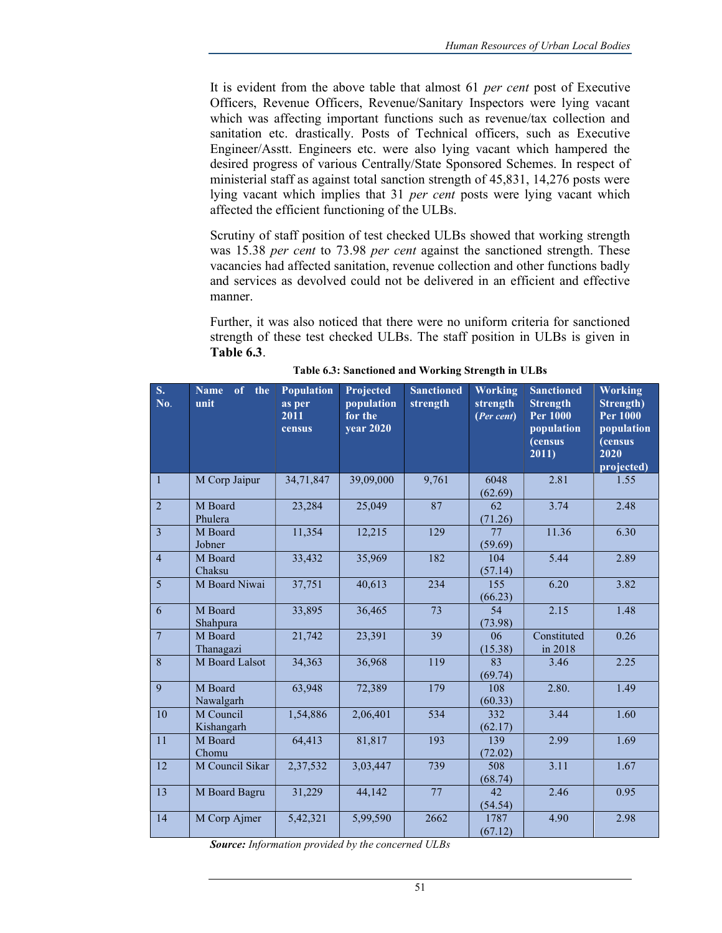It is evident from the above table that almost 61 per cent post of Executive Officers, Revenue Officers, Revenue/Sanitary Inspectors were lying vacant which was affecting important functions such as revenue/tax collection and sanitation etc. drastically. Posts of Technical officers, such as Executive Engineer/Asstt. Engineers etc. were also lying vacant which hampered the desired progress of various Centrally/State Sponsored Schemes. In respect of ministerial staff as against total sanction strength of 45,831, 14,276 posts were lying vacant which implies that 31 per cent posts were lying vacant which affected the efficient functioning of the ULBs.

Scrutiny of staff position of test checked ULBs showed that working strength was 15.38 per cent to 73.98 per cent against the sanctioned strength. These vacancies had affected sanitation, revenue collection and other functions badly and services as devolved could not be delivered in an efficient and effective manner.

Further, it was also noticed that there were no uniform criteria for sanctioned strength of these test checked ULBs. The staff position in ULBs is given in Table 6.3.

| $S_{\star}$<br>No. | of the<br>Name<br>unit  | Population<br>as per<br>2011<br>census | Projected<br>population<br>for the<br><b>year 2020</b> | <b>Sanctioned</b><br>strength | <b>Working</b><br>strength<br>(Per cent) | <b>Sanctioned</b><br><b>Strength</b><br><b>Per 1000</b><br>population<br>(census<br>2011) | <b>Working</b><br>Strength)<br><b>Per 1000</b><br>population<br>(census<br>2020<br>projected) |
|--------------------|-------------------------|----------------------------------------|--------------------------------------------------------|-------------------------------|------------------------------------------|-------------------------------------------------------------------------------------------|-----------------------------------------------------------------------------------------------|
| 1                  | M Corp Jaipur           | 34,71,847                              | 39,09,000                                              | 9,761                         | 6048<br>(62.69)                          | 2.81                                                                                      | 1.55                                                                                          |
| $\overline{2}$     | M Board<br>Phulera      | 23,284                                 | 25,049                                                 | 87                            | 62<br>(71.26)                            | 3.74                                                                                      | 2.48                                                                                          |
| $\overline{3}$     | M Board<br>Jobner       | 11,354                                 | 12,215                                                 | 129                           | 77<br>(59.69)                            | 11.36                                                                                     | 6.30                                                                                          |
| $\overline{4}$     | M Board<br>Chaksu       | 33,432                                 | 35,969                                                 | 182                           | 104<br>(57.14)                           | 5.44                                                                                      | 2.89                                                                                          |
| $\overline{5}$     | M Board Niwai           | 37,751                                 | 40,613                                                 | 234                           | 155<br>(66.23)                           | 6.20                                                                                      | 3.82                                                                                          |
| 6                  | M Board<br>Shahpura     | 33,895                                 | 36,465                                                 | 73                            | 54<br>(73.98)                            | 2.15                                                                                      | 1.48                                                                                          |
| $\overline{7}$     | M Board<br>Thanagazi    | 21,742                                 | 23,391                                                 | 39                            | 06<br>(15.38)                            | Constituted<br>in 2018                                                                    | 0.26                                                                                          |
| 8                  | M Board Lalsot          | 34,363                                 | 36,968                                                 | 119                           | 83<br>(69.74)                            | 3.46                                                                                      | 2.25                                                                                          |
| 9                  | M Board<br>Nawalgarh    | 63,948                                 | 72,389                                                 | 179                           | 108<br>(60.33)                           | 2.80.                                                                                     | 1.49                                                                                          |
| 10                 | M Council<br>Kishangarh | 1,54,886                               | 2,06,401                                               | 534                           | 332<br>(62.17)                           | 3.44                                                                                      | 1.60                                                                                          |
| 11                 | M Board<br>Chomu        | 64,413                                 | 81,817                                                 | 193                           | 139<br>(72.02)                           | 2.99                                                                                      | 1.69                                                                                          |
| 12                 | M Council Sikar         | 2,37,532                               | 3,03,447                                               | 739                           | 508<br>(68.74)                           | 3.11                                                                                      | 1.67                                                                                          |
| 13                 | M Board Bagru           | 31,229                                 | 44,142                                                 | 77                            | 42<br>(54.54)                            | 2.46                                                                                      | 0.95                                                                                          |
| 14                 | M Corp Ajmer            | 5,42,321                               | 5,99,590                                               | 2662                          | 1787<br>(67.12)                          | 4.90                                                                                      | 2.98                                                                                          |

Table 6.3: Sanctioned and Working Strength in ULBs

Source: Information provided by the concerned ULBs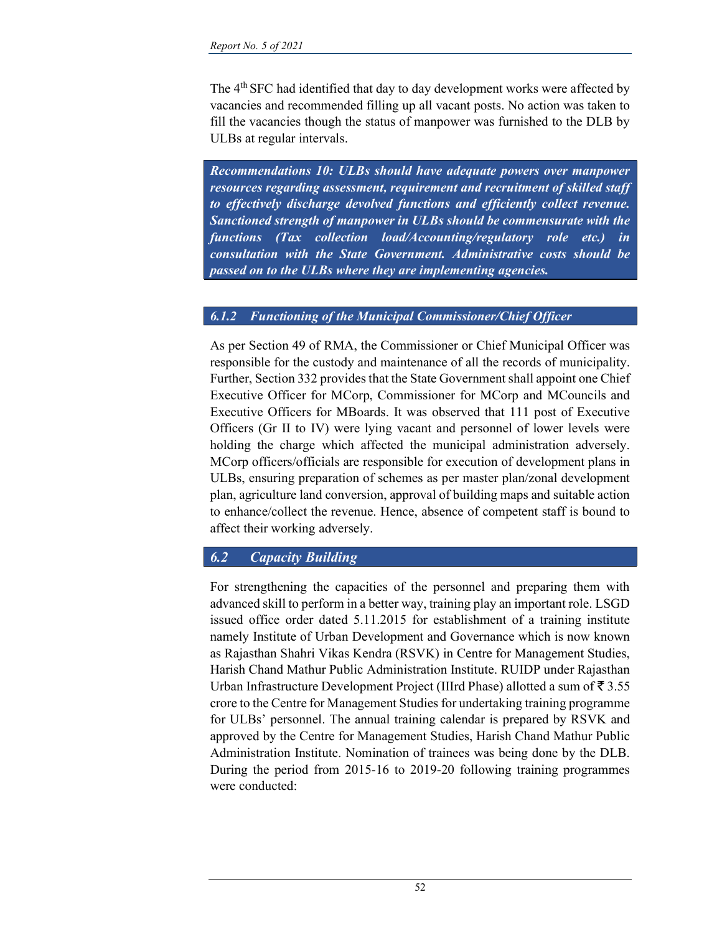The 4<sup>th</sup> SFC had identified that day to day development works were affected by vacancies and recommended filling up all vacant posts. No action was taken to fill the vacancies though the status of manpower was furnished to the DLB by ULBs at regular intervals.

Recommendations 10: ULBs should have adequate powers over manpower resources regarding assessment, requirement and recruitment of skilled staff to effectively discharge devolved functions and efficiently collect revenue. Sanctioned strength of manpower in ULBs should be commensurate with the functions (Tax collection load/Accounting/regulatory role etc.) in consultation with the State Government. Administrative costs should be passed on to the ULBs where they are implementing agencies.

## 6.1.2 Functioning of the Municipal Commissioner/Chief Officer

As per Section 49 of RMA, the Commissioner or Chief Municipal Officer was responsible for the custody and maintenance of all the records of municipality. Further, Section 332 provides that the State Government shall appoint one Chief Executive Officer for MCorp, Commissioner for MCorp and MCouncils and Executive Officers for MBoards. It was observed that 111 post of Executive Officers (Gr II to IV) were lying vacant and personnel of lower levels were holding the charge which affected the municipal administration adversely. MCorp officers/officials are responsible for execution of development plans in ULBs, ensuring preparation of schemes as per master plan/zonal development plan, agriculture land conversion, approval of building maps and suitable action to enhance/collect the revenue. Hence, absence of competent staff is bound to affect their working adversely.

# 6.2 Capacity Building

For strengthening the capacities of the personnel and preparing them with advanced skill to perform in a better way, training play an important role. LSGD issued office order dated 5.11.2015 for establishment of a training institute namely Institute of Urban Development and Governance which is now known as Rajasthan Shahri Vikas Kendra (RSVK) in Centre for Management Studies, Harish Chand Mathur Public Administration Institute. RUIDP under Rajasthan Urban Infrastructure Development Project (IIIrd Phase) allotted a sum of  $\bar{z}$  3.55 crore to the Centre for Management Studies for undertaking training programme for ULBs' personnel. The annual training calendar is prepared by RSVK and approved by the Centre for Management Studies, Harish Chand Mathur Public Administration Institute. Nomination of trainees was being done by the DLB. During the period from 2015-16 to 2019-20 following training programmes were conducted: